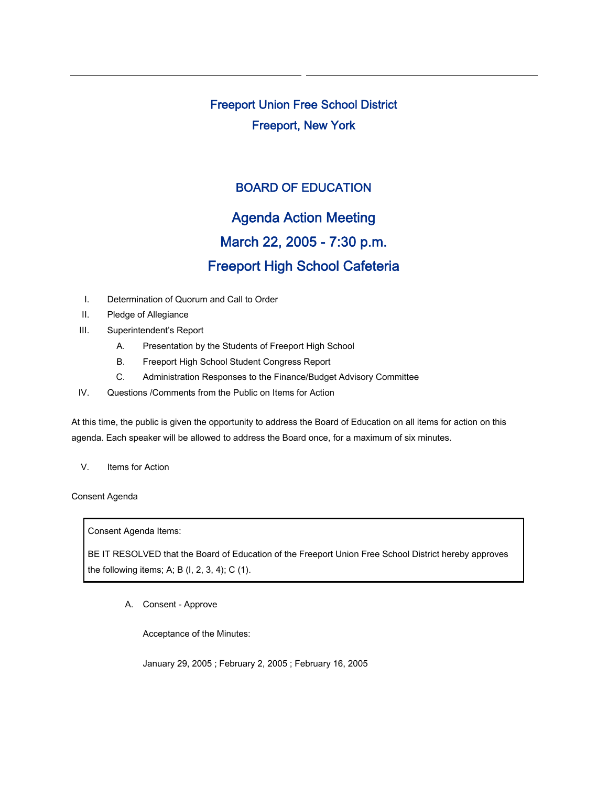Freeport Union Free School District Freeport, New York

## BOARD OF EDUCATION

# Agenda Action Meeting March 22, 2005 - 7:30 p.m. Freeport High School Cafeteria

- I. Determination of Quorum and Call to Order
- II. Pledge of Allegiance
- III. Superintendent's Report
	- A. Presentation by the Students of Freeport High School
	- B. Freeport High School Student Congress Report
	- C. Administration Responses to the Finance/Budget Advisory Committee
- IV. Questions /Comments from the Public on Items for Action

At this time, the public is given the opportunity to address the Board of Education on all items for action on this agenda. Each speaker will be allowed to address the Board once, for a maximum of six minutes.

V. Items for Action

Consent Agenda

Consent Agenda Items:

BE IT RESOLVED that the Board of Education of the Freeport Union Free School District hereby approves the following items; A; B (I, 2, 3, 4); C (1).

A. Consent - Approve

Acceptance of the Minutes:

January 29, 2005 ; February 2, 2005 ; February 16, 2005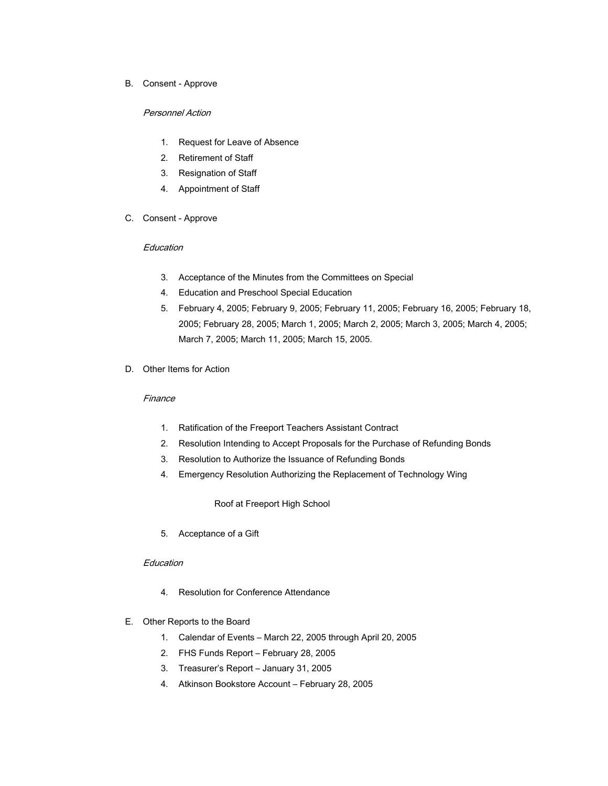B. Consent - Approve

#### Personnel Action

- 1. Request for Leave of Absence
- 2. Retirement of Staff
- 3. Resignation of Staff
- 4. Appointment of Staff
- C. Consent Approve

#### Education

- 3. Acceptance of the Minutes from the Committees on Special
- 4. Education and Preschool Special Education
- 5. February 4, 2005; February 9, 2005; February 11, 2005; February 16, 2005; February 18, 2005; February 28, 2005; March 1, 2005; March 2, 2005; March 3, 2005; March 4, 2005; March 7, 2005; March 11, 2005; March 15, 2005.
- D. Other Items for Action

### Finance

- 1. Ratification of the Freeport Teachers Assistant Contract
- 2. Resolution Intending to Accept Proposals for the Purchase of Refunding Bonds
- 3. Resolution to Authorize the Issuance of Refunding Bonds
- 4. Emergency Resolution Authorizing the Replacement of Technology Wing

Roof at Freeport High School

5. Acceptance of a Gift

#### **Education**

- 4. Resolution for Conference Attendance
- E. Other Reports to the Board
	- 1. Calendar of Events March 22, 2005 through April 20, 2005
	- 2. FHS Funds Report February 28, 2005
	- 3. Treasurer's Report January 31, 2005
	- 4. Atkinson Bookstore Account February 28, 2005